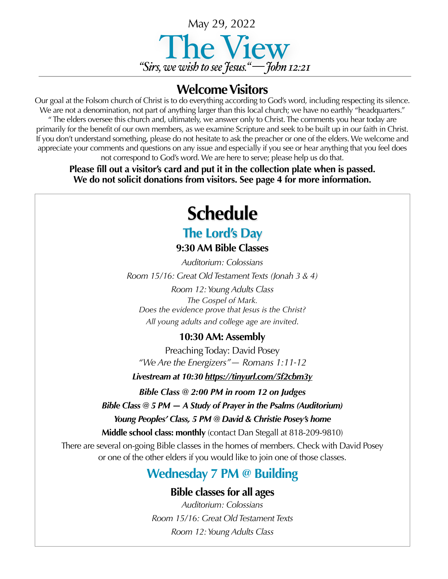

#### **Welcome Visitors**

Our goal at the Folsom church of Christ is to do everything according to God's word, including respecting its silence. We are not a denomination, not part of anything larger than this local church; we have no earthly "headquarters." " The elders oversee this church and, ultimately, we answer only to Christ. The comments you hear today are primarily for the benefit of our own members, as we examine Scripture and seek to be built up in our faith in Christ. If you don't understand something, please do not hesitate to ask the preacher or one of the elders. We welcome and appreciate your comments and questions on any issue and especially if you see or hear anything that you feel does not correspond to God's word. We are here to serve; please help us do that.

**Please fill out a visitor's card and put it in the collection plate when is passed. We do not solicit donations from visitors. See page 4 for more information.**

## **Schedule**

### **The Lord's Day**

**9:30 AM Bible Classes**

*Auditorium: Colossians Room 15/16: Great Old Testament Texts (Jonah 3 & 4) Room 12: Young Adults Class The Gospel of Mark. Does the evidence prove that Jesus is the Christ? All young adults and college age are invited*.

#### **10:30 AM: Assembly**

Preaching Today: David Posey *"We Are the Energizers"— Romans 1:11-12* 

*Livestream at 10:30 <https://tinyurl.com/5f2cbm3y>*

*Bible Class @ 2:00 PM in room 12 on Judges*

*Bible Class @ 5 PM — A Study of Prayer in the Psalms (Auditorium)*

*Young Peoples' Class, 5 PM @ David & Christie Posey's home* 

**Middle school class: monthly** (contact Dan Stegall at 818-209-9810)

There are several on-going Bible classes in the homes of members. Check with David Posey or one of the other elders if you would like to join one of those classes.

#### **Wednesday 7 PM @ Building**

#### **Bible classes for all ages**

*Auditorium: Colossians Room 15/16: Great Old Testament Texts Room 12: Young Adults Class*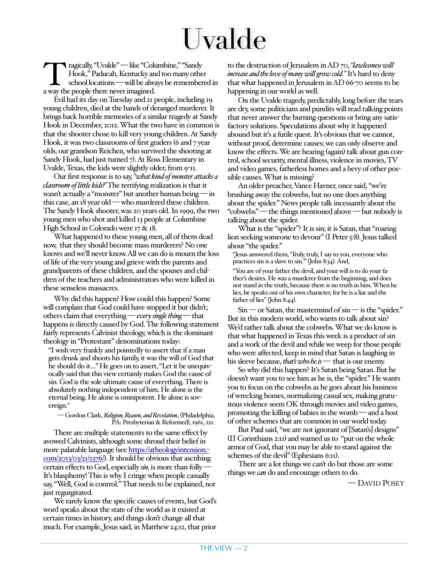# Uvalde

Tragically, "Uvalde" — like "Columbine," "Sandy Hook," Paducah, Kentucky and too many othe school locations — will be always be remember a way the people there never imagined. Hook," Paducah, Kentucky and too many other school locations — will be always be remembered in a way the people there never imagined.

Evil had its day on Tuesday and 21 people, including 19 young children, died at the hands of deranged murderer. It brings back horrible memories of a similar tragedy at Sandy Hook in December, 2012. What the two have in common is that the shooter chose to kill very young children. At Sandy Hook, it was two classrooms of first graders (6 and 7 year olds; our grandson Reichen, who survived the shooting at Sandy Hook, had just turned 7). At Ross Elementary in Uvalde, Texas, the kids were slightly older, from 9-11.

Our first response is to say, *"what kind of monster attacks a classroom of little kids?'* The terrifying realization is that it wasn't actually a "monster" but another human being — in this case, an 18 year old — who murdered these children. The Sandy Hook shooter, was 20 years old. In 1999, the two young men who shot and killed 13 people at Columbine High School in Colorado were 17 & 18.

What happened to these young men, all of them dead now, that they should become mass murderers? No one knows and we'll never know. All we can do is mourn the loss of life of the very young and grieve with the parents and grandparents of these children, and the spouses and children of the teachers and administrators who were killed in these senseless massacres.

Why did this happen? How could this happen? Some will complain that God could have stopped it but didn't; others claim that everything — *every single thing* — that happens is directly caused by God. The following statement fairly represents Calvinist theology, which is the dominant theology in "Protestant" denominations today:

"I wish very frankly and pointedly to assert that if a man gets drunk and shoots his family, it was the will of God that he should do it…" He goes on to assert, "Let it be unequivocally said that this view certainly makes God the cause of sin. God is the sole ultimate cause of everything. There is absolutely nothing independent of him. He alone is the eternal being. He alone is omnipotent. He alone is sovereign."

#### — Gordon Clark, *Religion, Reason, and Revelation*, (Philadelphia, PA: Presbyterian & Reformed), 1961, 221.

There are multiple statements to the same effect by avowed Calvinists, although some shroud their belief in more palatable language (see [https://atheologyintension.](https://atheologyintension.com/2013/03/21/2376/)[com/2013/03/21/2376/](https://atheologyintension.com/2013/03/21/2376/)). It should be obvious that ascribing certain effects to God, especially *sin,* is more than folly — It's blasphemy! This is why I cringe when people casually say, "Well, God is control." That needs to be explained, not just regurgitated.

We rarely know the specific causes of events, but God's word speaks about the state of the world as it existed at certain times in history, and things don't change all that much. For example, Jesus said, in Matthew 24:12, that prior

to the destruction of Jerusalem in AD 70, *"lawlessness will increase and the love of many will grow cold."* It's hard to deny that what happened in Jerusalem in AD 66-70 seems to be happening in our world as well.

On the Uvalde tragedy, predictably, long before the tears are dry, some politicians and pundits will read talking points that never answer the burning questions or bring any satisfactory solutions. Speculations about why it happened abound but it's a futile quest. It's obvious that we cannot, without proof, determine causes; we can only observe and know the effects. We are hearing (again) talk about gun control, school security, mental illness, violence in movies, TV and video games, fatherless homes and a bevy of other possible causes. What is missing?

An older preacher, Vance Havner, once said, "we're brushing away the cobwebs, but no one does anything about the spider." News people talk incessantly about the "cobwebs" — the things mentioned above — but nobody is talking about the spider.

What is the "spider"? It is sin; it is Satan, that "roaring lion seeking someone to devour" (I Peter 5:8). Jesus talked about "the spider."

"Jesus answered them, 'Truly, truly, I say to you, everyone who practices sin is a slave to sin.'" (John 8:34). And,

"You are of your father the devil, and your will is to do your father's desires. He was a murderer from the beginning, and does not stand in the truth, because there is no truth in him. When he lies, he speaks out of his own character, for he is a liar and the father of lies" (John 8:44).

 $Sin$  — or Satan, the mastermind of  $sin$  — is the "spider." But in this modern world, who wants to talk about sin? We'd rather talk about the cobwebs. What we do know is that what happened in Texas this week is a product of sin and a work of the devil and while we weep for those people who were affected, keep in mind that Satan is laughing in his sleeve because, *that's who he is —* that is our enemy.

So why did this happen? It's Satan being Satan. But he doesn't want you to see him as he is, the "spider." He wants you to focus on the cobwebs as he goes about his business of wrecking homes, normalizing casual sex, making gratuitous violence seem OK through movies and video games, promoting the killing of babies in the womb — and a host of other schemes that are common in our world today.

But Paul said, "we are not ignorant of [Satan's] designs" (II Corinthians 2:11) and warned us to "put on the whole armor of God, that you may be able to stand against the schemes of the devil" (Ephesians 6:11).

There are a lot things we can't do but those are some things we *can* do and encourage others to do.

— DAVID POSEY